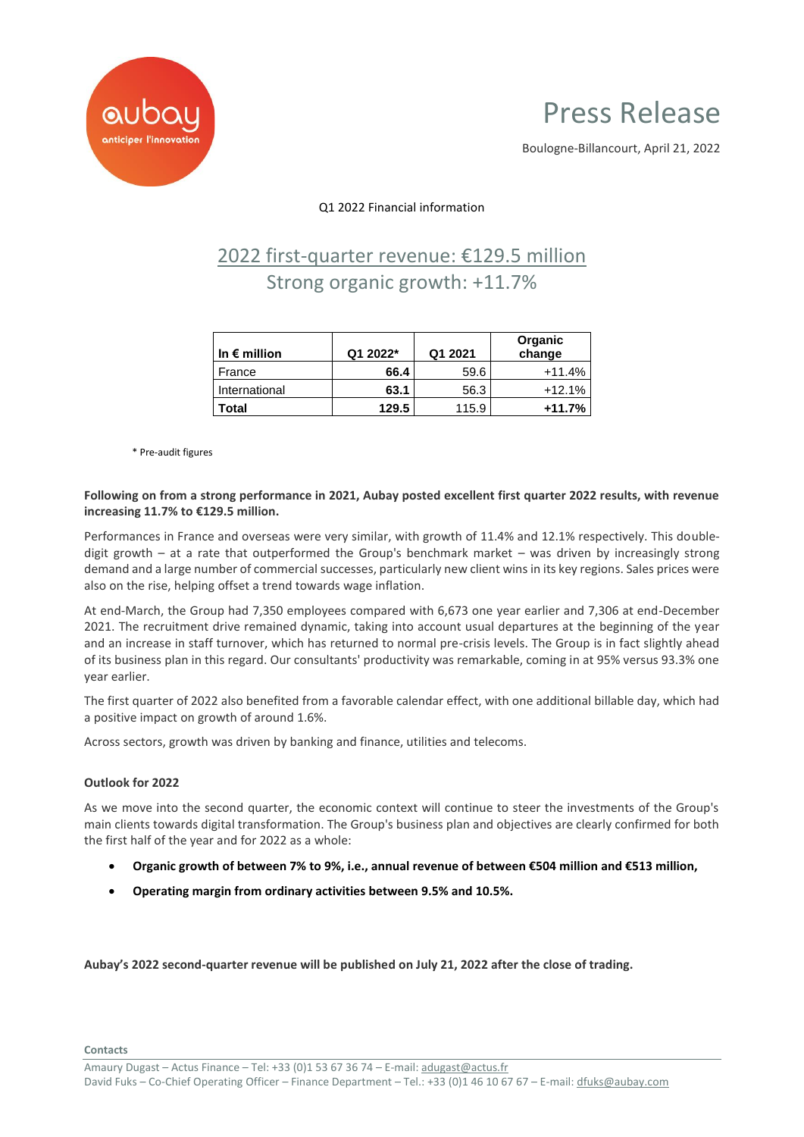

# Press Release

Boulogne-Billancourt, April 21, 2022

### Q1 2022 Financial information

## 2022 first-quarter revenue: €129.5 million Strong organic growth: +11.7%

| In $\epsilon$ million | Q1 2022* | Q1 2021 | Organic<br>change |
|-----------------------|----------|---------|-------------------|
| France                | 66.4     | 59.6    | $+11.4%$          |
| International         | 63.1     | 56.3    | $+12.1%$          |
| Total                 | 129.5    | 115.9   | $+11.7%$          |

\* Pre-audit figures

#### **Following on from a strong performance in 2021, Aubay posted excellent first quarter 2022 results, with revenue increasing 11.7% to €129.5 million.**

Performances in France and overseas were very similar, with growth of 11.4% and 12.1% respectively. This doubledigit growth – at a rate that outperformed the Group's benchmark market – was driven by increasingly strong demand and a large number of commercial successes, particularly new client wins in its key regions. Sales prices were also on the rise, helping offset a trend towards wage inflation.

At end-March, the Group had 7,350 employees compared with 6,673 one year earlier and 7,306 at end-December 2021. The recruitment drive remained dynamic, taking into account usual departures at the beginning of the year and an increase in staff turnover, which has returned to normal pre-crisis levels. The Group is in fact slightly ahead of its business plan in this regard. Our consultants' productivity was remarkable, coming in at 95% versus 93.3% one year earlier.

The first quarter of 2022 also benefited from a favorable calendar effect, with one additional billable day, which had a positive impact on growth of around 1.6%.

Across sectors, growth was driven by banking and finance, utilities and telecoms.

#### **Outlook for 2022**

As we move into the second quarter, the economic context will continue to steer the investments of the Group's main clients towards digital transformation. The Group's business plan and objectives are clearly confirmed for both the first half of the year and for 2022 as a whole:

- **Organic growth of between 7% to 9%, i.e., annual revenue of between €504 million and €513 million,**
- **Operating margin from ordinary activities between 9.5% and 10.5%.**

**Aubay's 2022 second-quarter revenue will be published on July 21, 2022 after the close of trading.**

**Contacts**